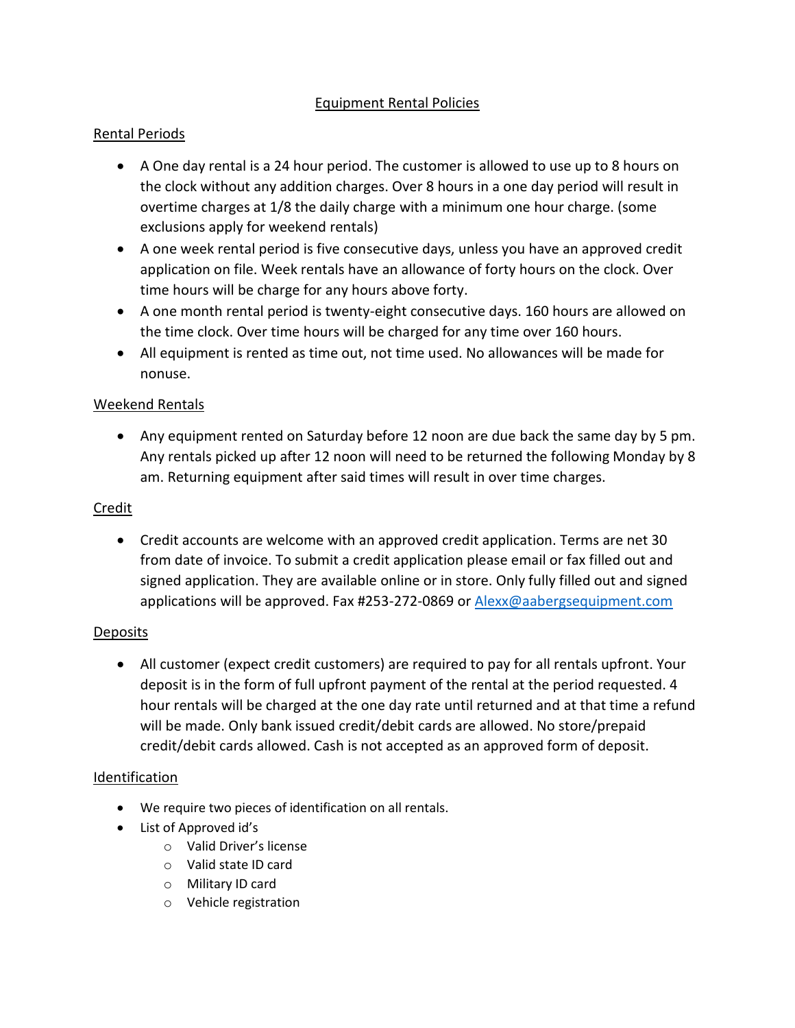# Equipment Rental Policies

## Rental Periods

- A One day rental is a 24 hour period. The customer is allowed to use up to 8 hours on the clock without any addition charges. Over 8 hours in a one day period will result in overtime charges at 1/8 the daily charge with a minimum one hour charge. (some exclusions apply for weekend rentals)
- A one week rental period is five consecutive days, unless you have an approved credit application on file. Week rentals have an allowance of forty hours on the clock. Over time hours will be charge for any hours above forty.
- A one month rental period is twenty-eight consecutive days. 160 hours are allowed on the time clock. Over time hours will be charged for any time over 160 hours.
- All equipment is rented as time out, not time used. No allowances will be made for nonuse.

## Weekend Rentals

 Any equipment rented on Saturday before 12 noon are due back the same day by 5 pm. Any rentals picked up after 12 noon will need to be returned the following Monday by 8 am. Returning equipment after said times will result in over time charges.

## Credit

 Credit accounts are welcome with an approved credit application. Terms are net 30 from date of invoice. To submit a credit application please email or fax filled out and signed application. They are available online or in store. Only fully filled out and signed applications will be approved. Fax #253-272-0869 or [Alexx@aabergsequipment.com](mailto:Alexx@aabergsequipment.com)

## **Deposits**

 All customer (expect credit customers) are required to pay for all rentals upfront. Your deposit is in the form of full upfront payment of the rental at the period requested. 4 hour rentals will be charged at the one day rate until returned and at that time a refund will be made. Only bank issued credit/debit cards are allowed. No store/prepaid credit/debit cards allowed. Cash is not accepted as an approved form of deposit.

## Identification

- We require two pieces of identification on all rentals.
- List of Approved id's
	- o Valid Driver's license
	- o Valid state ID card
	- o Military ID card
	- o Vehicle registration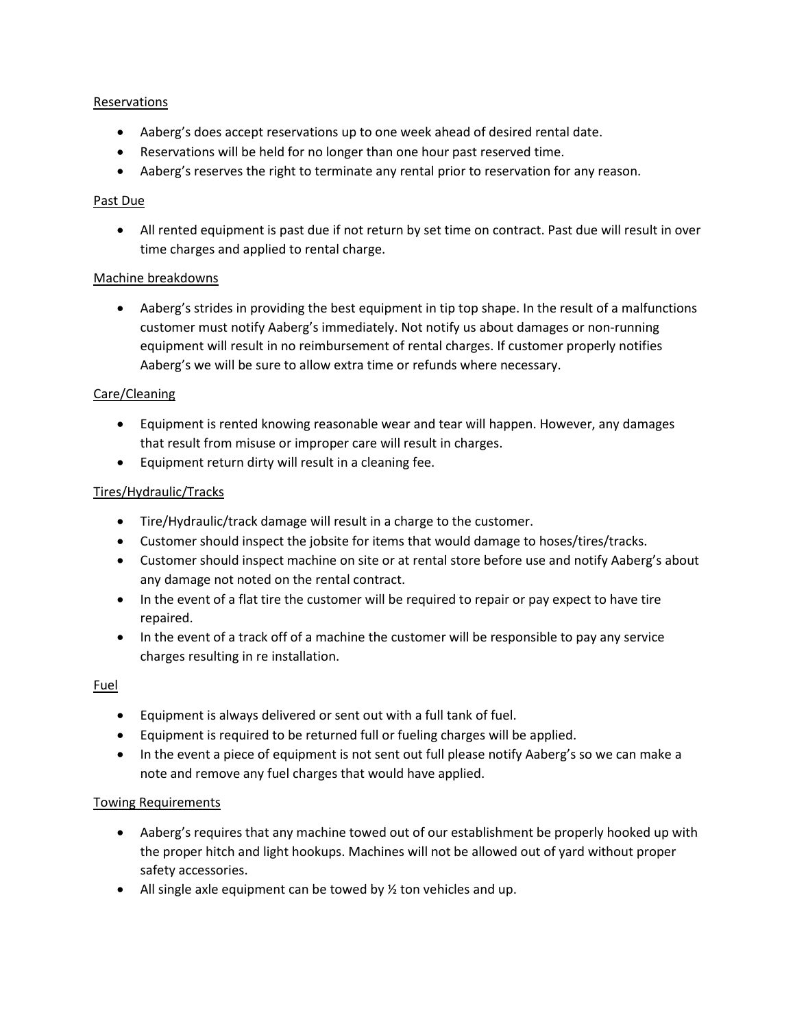#### Reservations

- Aaberg's does accept reservations up to one week ahead of desired rental date.
- Reservations will be held for no longer than one hour past reserved time.
- Aaberg's reserves the right to terminate any rental prior to reservation for any reason.

#### Past Due

 All rented equipment is past due if not return by set time on contract. Past due will result in over time charges and applied to rental charge.

#### Machine breakdowns

 Aaberg's strides in providing the best equipment in tip top shape. In the result of a malfunctions customer must notify Aaberg's immediately. Not notify us about damages or non-running equipment will result in no reimbursement of rental charges. If customer properly notifies Aaberg's we will be sure to allow extra time or refunds where necessary.

#### Care/Cleaning

- Equipment is rented knowing reasonable wear and tear will happen. However, any damages that result from misuse or improper care will result in charges.
- Equipment return dirty will result in a cleaning fee.

#### Tires/Hydraulic/Tracks

- Tire/Hydraulic/track damage will result in a charge to the customer.
- Customer should inspect the jobsite for items that would damage to hoses/tires/tracks.
- Customer should inspect machine on site or at rental store before use and notify Aaberg's about any damage not noted on the rental contract.
- In the event of a flat tire the customer will be required to repair or pay expect to have tire repaired.
- In the event of a track off of a machine the customer will be responsible to pay any service charges resulting in re installation.

#### Fuel

- Equipment is always delivered or sent out with a full tank of fuel.
- Equipment is required to be returned full or fueling charges will be applied.
- In the event a piece of equipment is not sent out full please notify Aaberg's so we can make a note and remove any fuel charges that would have applied.

#### Towing Requirements

- Aaberg's requires that any machine towed out of our establishment be properly hooked up with the proper hitch and light hookups. Machines will not be allowed out of yard without proper safety accessories.
- All single axle equipment can be towed by  $\frac{1}{2}$  ton vehicles and up.